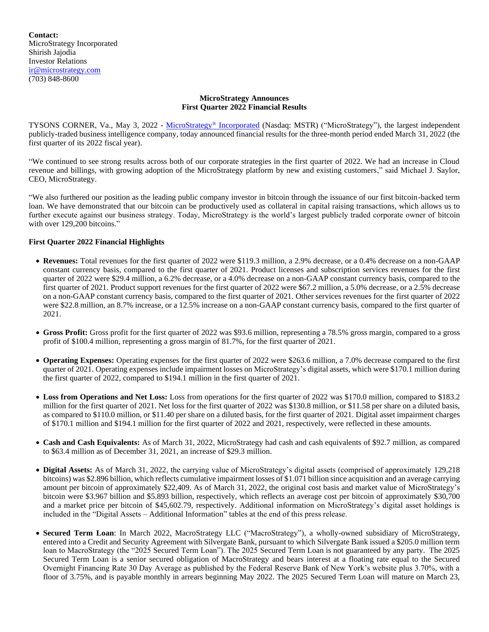**Contact:** MicroStrategy Incorporated Shirish Jajodia Investor Relations [ir@microstrategy.com](mailto:ir@microstrategy.com) (703) 848-8600

### **MicroStrategy Announces First Quarter 2022 Financial Results**

TYSONS CORNER, Va., May 3, 2022 - [MicroStrategy](https://www.microstrategy.com/en)® Incorporated (Nasdaq: MSTR) ("MicroStrategy"), the largest independent publicly-traded business intelligence company, today announced financial results for the three-month period ended March 31, 2022 (the first quarter of its 2022 fiscal year).

"We continued to see strong results across both of our corporate strategies in the first quarter of 2022. We had an increase in Cloud revenue and billings, with growing adoption of the MicroStrategy platform by new and existing customers," said Michael J. Saylor, CEO, MicroStrategy.

"We also furthered our position as the leading public company investor in bitcoin through the issuance of our first bitcoin-backed term loan. We have demonstrated that our bitcoin can be productively used as collateral in capital raising transactions, which allows us to further execute against our business strategy. Today, MicroStrategy is the world's largest publicly traded corporate owner of bitcoin with over 129,200 bitcoins."

# **First Quarter 2022 Financial Highlights**

- **Revenues:** Total revenues for the first quarter of 2022 were \$119.3 million, a 2.9% decrease, or a 0.4% decrease on a non-GAAP constant currency basis, compared to the first quarter of 2021. Product licenses and subscription services revenues for the first quarter of 2022 were \$29.4 million, a 6.2% decrease, or a 4.0% decrease on a non-GAAP constant currency basis, compared to the first quarter of 2021. Product support revenues for the first quarter of 2022 were \$67.2 million, a 5.0% decrease, or a 2.5% decrease on a non-GAAP constant currency basis, compared to the first quarter of 2021. Other services revenues for the first quarter of 2022 were \$22.8 million, an 8.7% increase, or a 12.5% increase on a non-GAAP constant currency basis, compared to the first quarter of 2021.
- **Gross Profit:** Gross profit for the first quarter of 2022 was \$93.6 million, representing a 78.5% gross margin, compared to a gross profit of \$100.4 million, representing a gross margin of 81.7%, for the first quarter of 2021.
- **Operating Expenses:** Operating expenses for the first quarter of 2022 were \$263.6 million, a 7.0% decrease compared to the first quarter of 2021. Operating expenses include impairment losses on MicroStrategy's digital assets, which were \$170.1 million during the first quarter of 2022, compared to \$194.1 million in the first quarter of 2021.
- **Loss from Operations and Net Loss:** Loss from operations for the first quarter of 2022 was \$170.0 million, compared to \$183.2 million for the first quarter of 2021. Net loss for the first quarter of 2022 was \$130.8 million, or \$11.58 per share on a diluted basis, as compared to \$110.0 million, or \$11.40 per share on a diluted basis, for the first quarter of 2021. Digital asset impairment charges of \$170.1 million and \$194.1 million for the first quarter of 2022 and 2021, respectively, were reflected in these amounts.
- **Cash and Cash Equivalents:** As of March 31, 2022, MicroStrategy had cash and cash equivalents of \$92.7 million, as compared to \$63.4 million as of December 31, 2021, an increase of \$29.3 million.
- **Digital Assets:** As of March 31, 2022, the carrying value of MicroStrategy's digital assets (comprised of approximately 129,218 bitcoins) was \$2.896 billion, which reflects cumulative impairment losses of \$1.071 billion since acquisition and an average carrying amount per bitcoin of approximately \$22,409. As of March 31, 2022, the original cost basis and market value of MicroStrategy's bitcoin were \$3.967 billion and \$5.893 billion, respectively, which reflects an average cost per bitcoin of approximately \$30,700 and a market price per bitcoin of \$45,602.79, respectively. Additional information on MicroStrategy's digital asset holdings is included in the "Digital Assets – Additional Information" tables at the end of this press release.
- **Secured Term Loan**: In March 2022, MacroStrategy LLC ("MacroStrategy"), a wholly-owned subsidiary of MicroStrategy, entered into a Credit and Security Agreement with Silvergate Bank, pursuant to which Silvergate Bank issued a \$205.0 million term loan to MacroStrategy (the "2025 Secured Term Loan"). The 2025 Secured Term Loan is not guaranteed by any party. The 2025 Secured Term Loan is a senior secured obligation of MacroStrategy and bears interest at a floating rate equal to the Secured Overnight Financing Rate 30 Day Average as published by the Federal Reserve Bank of New York's website plus 3.70%, with a floor of 3.75%, and is payable monthly in arrears beginning May 2022. The 2025 Secured Term Loan will mature on March 23,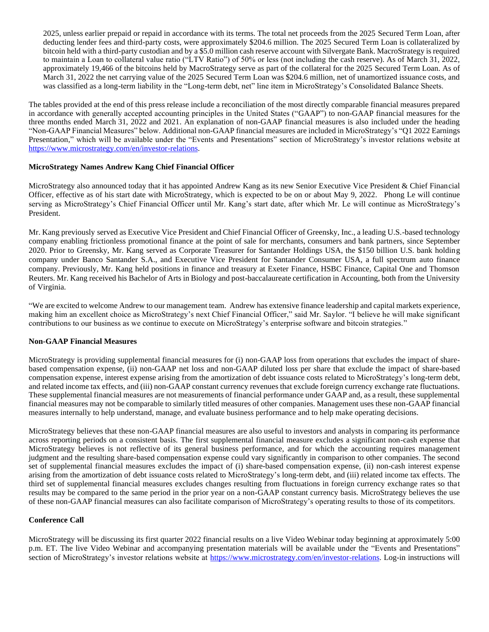2025, unless earlier prepaid or repaid in accordance with its terms. The total net proceeds from the 2025 Secured Term Loan, after deducting lender fees and third-party costs, were approximately \$204.6 million. The 2025 Secured Term Loan is collateralized by bitcoin held with a third-party custodian and by a \$5.0 million cash reserve account with Silvergate Bank. MacroStrategy is required to maintain a Loan to collateral value ratio ("LTV Ratio") of 50% or less (not including the cash reserve). As of March 31, 2022, approximately 19,466 of the bitcoins held by MacroStrategy serve as part of the collateral for the 2025 Secured Term Loan. As of March 31, 2022 the net carrying value of the 2025 Secured Term Loan was \$204.6 million, net of unamortized issuance costs, and was classified as a long-term liability in the "Long-term debt, net" line item in MicroStrategy's Consolidated Balance Sheets.

The tables provided at the end of this press release include a reconciliation of the most directly comparable financial measures prepared in accordance with generally accepted accounting principles in the United States ("GAAP") to non-GAAP financial measures for the three months ended March 31, 2022 and 2021. An explanation of non-GAAP financial measures is also included under the heading "Non-GAAP Financial Measures" below. Additional non-GAAP financial measures are included in MicroStrategy's "Q1 2022 Earnings Presentation," which will be available under the "Events and Presentations" section of MicroStrategy's investor relations website at [https://www.microstrategy.com/en/investor-relations.](https://www.microstrategy.com/en/investor-relations)

# **MicroStrategy Names Andrew Kang Chief Financial Officer**

MicroStrategy also announced today that it has appointed Andrew Kang as its new Senior Executive Vice President & Chief Financial Officer, effective as of his start date with MicroStrategy, which is expected to be on or about May 9, 2022. Phong Le will continue serving as MicroStrategy's Chief Financial Officer until Mr. Kang's start date, after which Mr. Le will continue as MicroStrategy's President.

Mr. Kang previously served as Executive Vice President and Chief Financial Officer of Greensky, Inc., a leading U.S.-based technology company enabling frictionless promotional finance at the point of sale for merchants, consumers and bank partners, since September 2020. Prior to Greensky, Mr. Kang served as Corporate Treasurer for Santander Holdings USA, the \$150 billion U.S. bank holding company under Banco Santander S.A., and Executive Vice President for Santander Consumer USA, a full spectrum auto finance company. Previously, Mr. Kang held positions in finance and treasury at Exeter Finance, HSBC Finance, Capital One and Thomson Reuters. Mr. Kang received his Bachelor of Arts in Biology and post-baccalaureate certification in Accounting, both from the University of Virginia.

"We are excited to welcome Andrew to our management team. Andrew has extensive finance leadership and capital markets experience, making him an excellent choice as MicroStrategy's next Chief Financial Officer," said Mr. Saylor. "I believe he will make significant contributions to our business as we continue to execute on MicroStrategy's enterprise software and bitcoin strategies."

#### **Non-GAAP Financial Measures**

MicroStrategy is providing supplemental financial measures for (i) non-GAAP loss from operations that excludes the impact of sharebased compensation expense, (ii) non-GAAP net loss and non-GAAP diluted loss per share that exclude the impact of share-based compensation expense, interest expense arising from the amortization of debt issuance costs related to MicroStrategy's long-term debt, and related income tax effects, and (iii) non-GAAP constant currency revenues that exclude foreign currency exchange rate fluctuations. These supplemental financial measures are not measurements of financial performance under GAAP and, as a result, these supplemental financial measures may not be comparable to similarly titled measures of other companies. Management uses these non-GAAP financial measures internally to help understand, manage, and evaluate business performance and to help make operating decisions.

MicroStrategy believes that these non-GAAP financial measures are also useful to investors and analysts in comparing its performance across reporting periods on a consistent basis. The first supplemental financial measure excludes a significant non-cash expense that MicroStrategy believes is not reflective of its general business performance, and for which the accounting requires management judgment and the resulting share-based compensation expense could vary significantly in comparison to other companies. The second set of supplemental financial measures excludes the impact of (i) share-based compensation expense, (ii) non-cash interest expense arising from the amortization of debt issuance costs related to MicroStrategy's long-term debt, and (iii) related income tax effects. The third set of supplemental financial measures excludes changes resulting from fluctuations in foreign currency exchange rates so that results may be compared to the same period in the prior year on a non-GAAP constant currency basis. MicroStrategy believes the use of these non-GAAP financial measures can also facilitate comparison of MicroStrategy's operating results to those of its competitors.

# **Conference Call**

MicroStrategy will be discussing its first quarter 2022 financial results on a live Video Webinar today beginning at approximately 5:00 p.m. ET. The live Video Webinar and accompanying presentation materials will be available under the "Events and Presentations" section of MicroStrategy's investor relations website at [https://www.microstrategy.com/en/investor-relations.](https://www.microstrategy.com/en/investor-relations) Log-in instructions will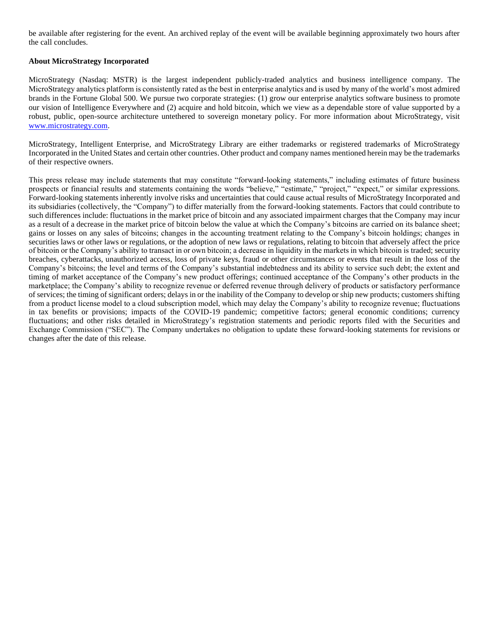be available after registering for the event. An archived replay of the event will be available beginning approximately two hours after the call concludes.

## **About MicroStrategy Incorporated**

MicroStrategy (Nasdaq: MSTR) is the largest independent publicly-traded analytics and business intelligence company. The MicroStrategy analytics platform is consistently rated as the best in enterprise analytics and is used by many of the world's most admired brands in the Fortune Global 500. We pursue two corporate strategies: (1) grow our enterprise analytics software business to promote our vision of Intelligence Everywhere and (2) acquire and hold bitcoin, which we view as a dependable store of value supported by a robust, public, open-source architecture untethered to sovereign monetary policy. For more information about MicroStrategy, visit [www.microstrategy.com.](http://www.microstrategy.com/)

MicroStrategy, Intelligent Enterprise, and MicroStrategy Library are either trademarks or registered trademarks of MicroStrategy Incorporated in the United States and certain other countries. Other product and company names mentioned herein may be the trademarks of their respective owners.

This press release may include statements that may constitute "forward-looking statements," including estimates of future business prospects or financial results and statements containing the words "believe," "estimate," "project," "expect," or similar expressions. Forward-looking statements inherently involve risks and uncertainties that could cause actual results of MicroStrategy Incorporated and its subsidiaries (collectively, the "Company") to differ materially from the forward-looking statements. Factors that could contribute to such differences include: fluctuations in the market price of bitcoin and any associated impairment charges that the Company may incur as a result of a decrease in the market price of bitcoin below the value at which the Company's bitcoins are carried on its balance sheet; gains or losses on any sales of bitcoins; changes in the accounting treatment relating to the Company's bitcoin holdings; changes in securities laws or other laws or regulations, or the adoption of new laws or regulations, relating to bitcoin that adversely affect the price of bitcoin or the Company's ability to transact in or own bitcoin; a decrease in liquidity in the markets in which bitcoin is traded; security breaches, cyberattacks, unauthorized access, loss of private keys, fraud or other circumstances or events that result in the loss of the Company's bitcoins; the level and terms of the Company's substantial indebtedness and its ability to service such debt; the extent and timing of market acceptance of the Company's new product offerings; continued acceptance of the Company's other products in the marketplace; the Company's ability to recognize revenue or deferred revenue through delivery of products or satisfactory performance of services; the timing of significant orders; delays in or the inability of the Company to develop or ship new products; customers shifting from a product license model to a cloud subscription model, which may delay the Company's ability to recognize revenue; fluctuations in tax benefits or provisions; impacts of the COVID-19 pandemic; competitive factors; general economic conditions; currency fluctuations; and other risks detailed in MicroStrategy's registration statements and periodic reports filed with the Securities and Exchange Commission ("SEC"). The Company undertakes no obligation to update these forward-looking statements for revisions or changes after the date of this release.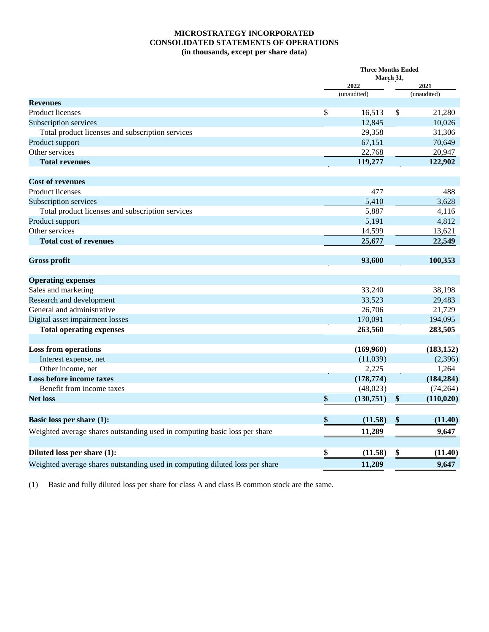# **MICROSTRATEGY INCORPORATED CONSOLIDATED STATEMENTS OF OPERATIONS (in thousands, except per share data)**

| 2022<br>2021<br>(unaudited)<br>(unaudited)<br><b>Revenues</b><br><b>Product licenses</b><br>\$<br>\$<br>16,513<br>21,280<br>12,845<br>Subscription services<br>10,026<br>Total product licenses and subscription services<br>29,358<br>31,306 | <b>Three Months Ended</b> |        |  |            |  |
|-----------------------------------------------------------------------------------------------------------------------------------------------------------------------------------------------------------------------------------------------|---------------------------|--------|--|------------|--|
|                                                                                                                                                                                                                                               | March 31,                 |        |  |            |  |
|                                                                                                                                                                                                                                               |                           |        |  |            |  |
|                                                                                                                                                                                                                                               |                           |        |  |            |  |
|                                                                                                                                                                                                                                               |                           |        |  |            |  |
|                                                                                                                                                                                                                                               |                           |        |  |            |  |
|                                                                                                                                                                                                                                               |                           |        |  |            |  |
| Product support                                                                                                                                                                                                                               |                           | 67,151 |  | 70,649     |  |
| Other services<br>22,768                                                                                                                                                                                                                      |                           |        |  | 20,947     |  |
| 119,277<br><b>Total revenues</b>                                                                                                                                                                                                              |                           |        |  | 122,902    |  |
|                                                                                                                                                                                                                                               |                           |        |  |            |  |
| <b>Cost of revenues</b>                                                                                                                                                                                                                       |                           |        |  |            |  |
| Product licenses<br>477                                                                                                                                                                                                                       |                           |        |  | 488        |  |
| Subscription services<br>5,410                                                                                                                                                                                                                |                           |        |  | 3,628      |  |
| 5,887<br>Total product licenses and subscription services                                                                                                                                                                                     |                           |        |  | 4,116      |  |
| Product support<br>5,191                                                                                                                                                                                                                      |                           |        |  | 4,812      |  |
| Other services<br>14,599                                                                                                                                                                                                                      |                           |        |  | 13,621     |  |
| <b>Total cost of revenues</b><br>25,677                                                                                                                                                                                                       |                           |        |  | 22,549     |  |
|                                                                                                                                                                                                                                               |                           |        |  |            |  |
| <b>Gross profit</b><br>93,600                                                                                                                                                                                                                 |                           |        |  | 100,353    |  |
|                                                                                                                                                                                                                                               |                           |        |  |            |  |
| <b>Operating expenses</b>                                                                                                                                                                                                                     |                           |        |  |            |  |
| Sales and marketing<br>33,240                                                                                                                                                                                                                 |                           |        |  | 38,198     |  |
| 33,523<br>Research and development                                                                                                                                                                                                            |                           |        |  | 29,483     |  |
| General and administrative<br>26,706                                                                                                                                                                                                          |                           |        |  | 21,729     |  |
| Digital asset impairment losses<br>170,091                                                                                                                                                                                                    |                           |        |  | 194,095    |  |
| <b>Total operating expenses</b><br>263,560                                                                                                                                                                                                    |                           |        |  | 283,505    |  |
|                                                                                                                                                                                                                                               |                           |        |  |            |  |
| <b>Loss from operations</b><br>(169,960)                                                                                                                                                                                                      |                           |        |  | (183, 152) |  |
| (11,039)<br>Interest expense, net                                                                                                                                                                                                             |                           |        |  | (2,396)    |  |
| 2,225<br>Other income, net                                                                                                                                                                                                                    |                           |        |  | 1,264      |  |
| <b>Loss before income taxes</b><br>(178, 774)                                                                                                                                                                                                 |                           |        |  | (184, 284) |  |
| Benefit from income taxes<br>(48,023)                                                                                                                                                                                                         |                           |        |  | (74, 264)  |  |
| \$<br><b>Net loss</b><br>\$<br>(130,751)                                                                                                                                                                                                      |                           |        |  | (110, 020) |  |
|                                                                                                                                                                                                                                               |                           |        |  |            |  |
| \$<br>\$<br>Basic loss per share (1):<br>(11.58)                                                                                                                                                                                              |                           |        |  | (11.40)    |  |
| Weighted average shares outstanding used in computing basic loss per share<br>11,289                                                                                                                                                          |                           |        |  | 9.647      |  |
|                                                                                                                                                                                                                                               |                           |        |  |            |  |
| \$<br>\$<br>Diluted loss per share (1):<br>(11.58)                                                                                                                                                                                            |                           |        |  | (11.40)    |  |
| Weighted average shares outstanding used in computing diluted loss per share<br>11,289                                                                                                                                                        |                           |        |  | 9,647      |  |

(1) Basic and fully diluted loss per share for class A and class B common stock are the same.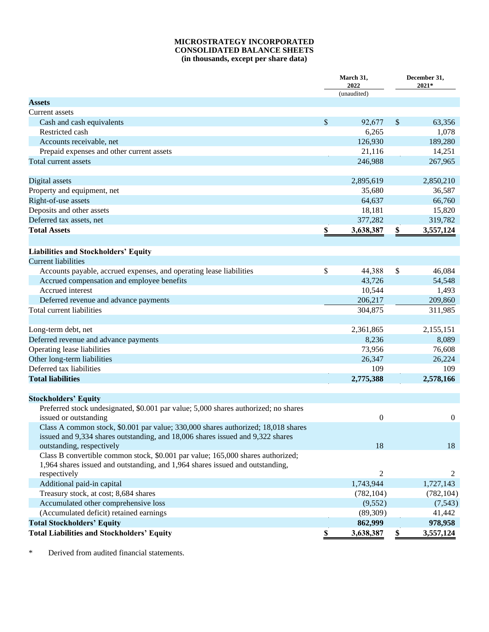#### **MICROSTRATEGY INCORPORATED CONSOLIDATED BALANCE SHEETS (in thousands, except per share data)**

|                                                                                     |                           | March 31,<br>2022 | December 31,<br>2021* |                  |  |
|-------------------------------------------------------------------------------------|---------------------------|-------------------|-----------------------|------------------|--|
|                                                                                     |                           | (unaudited)       |                       |                  |  |
| <b>Assets</b>                                                                       |                           |                   |                       |                  |  |
| Current assets                                                                      |                           |                   |                       |                  |  |
| Cash and cash equivalents                                                           | $\boldsymbol{\mathsf{S}}$ | 92,677            | \$                    | 63,356           |  |
| Restricted cash                                                                     |                           | 6,265             |                       | 1,078            |  |
| Accounts receivable, net                                                            |                           | 126,930           |                       | 189,280          |  |
| Prepaid expenses and other current assets                                           |                           | 21,116            |                       | 14,251           |  |
| Total current assets                                                                |                           | 246,988           |                       | 267,965          |  |
| Digital assets                                                                      |                           | 2,895,619         |                       | 2,850,210        |  |
| Property and equipment, net                                                         |                           | 35,680            |                       | 36,587           |  |
| Right-of-use assets                                                                 |                           | 64,637            |                       | 66,760           |  |
| Deposits and other assets                                                           |                           | 18,181            |                       | 15,820           |  |
| Deferred tax assets, net                                                            |                           | 377,282           |                       | 319,782          |  |
| <b>Total Assets</b>                                                                 | \$                        | 3,638,387         | \$                    | 3,557,124        |  |
|                                                                                     |                           |                   |                       |                  |  |
| Liabilities and Stockholders' Equity                                                |                           |                   |                       |                  |  |
| <b>Current liabilities</b>                                                          |                           |                   |                       |                  |  |
| Accounts payable, accrued expenses, and operating lease liabilities                 | \$                        | 44,388            | \$                    | 46,084           |  |
| Accrued compensation and employee benefits                                          |                           | 43,726            |                       | 54,548           |  |
| Accrued interest                                                                    |                           | 10,544            |                       | 1,493            |  |
| Deferred revenue and advance payments                                               |                           | 206,217           |                       | 209,860          |  |
| Total current liabilities                                                           |                           | 304,875           |                       | 311,985          |  |
| Long-term debt, net                                                                 |                           | 2,361,865         |                       | 2,155,151        |  |
| Deferred revenue and advance payments                                               |                           | 8,236             |                       | 8,089            |  |
| Operating lease liabilities                                                         |                           | 73,956            |                       | 76,608           |  |
| Other long-term liabilities                                                         |                           | 26,347            |                       | 26,224           |  |
| Deferred tax liabilities                                                            |                           | 109               |                       | 109              |  |
| <b>Total liabilities</b>                                                            |                           | 2,775,388         |                       | 2,578,166        |  |
| <b>Stockholders' Equity</b>                                                         |                           |                   |                       |                  |  |
| Preferred stock undesignated, \$0.001 par value; 5,000 shares authorized; no shares |                           |                   |                       |                  |  |
| issued or outstanding                                                               |                           | $\boldsymbol{0}$  |                       | $\boldsymbol{0}$ |  |
| Class A common stock, \$0.001 par value; 330,000 shares authorized; 18,018 shares   |                           |                   |                       |                  |  |
| issued and 9,334 shares outstanding, and 18,006 shares issued and 9,322 shares      |                           |                   |                       |                  |  |
| outstanding, respectively                                                           |                           | 18                |                       | 18               |  |
| Class B convertible common stock, \$0.001 par value; 165,000 shares authorized;     |                           |                   |                       |                  |  |
| 1,964 shares issued and outstanding, and 1,964 shares issued and outstanding,       |                           |                   |                       |                  |  |
| respectively                                                                        |                           | 2                 |                       | 2                |  |
| Additional paid-in capital                                                          |                           | 1,743,944         |                       | 1,727,143        |  |
| Treasury stock, at cost; 8,684 shares                                               |                           | (782, 104)        |                       | (782, 104)       |  |
| Accumulated other comprehensive loss                                                |                           | (9,552)           |                       | (7,543)          |  |
| (Accumulated deficit) retained earnings                                             |                           | (89,309)          |                       | 41,442           |  |
| <b>Total Stockholders' Equity</b>                                                   |                           | 862,999           |                       | 978,958          |  |
| <b>Total Liabilities and Stockholders' Equity</b>                                   | $\overline{\mathbf{z}}$   | 3,638,387         | \$                    | 3,557,124        |  |

\* Derived from audited financial statements.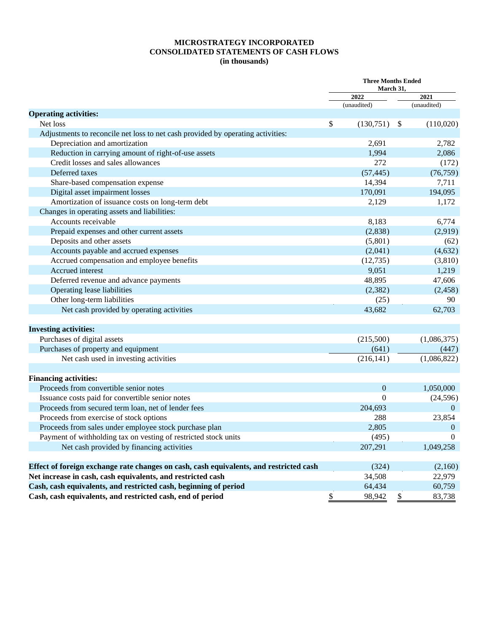### **MICROSTRATEGY INCORPORATED CONSOLIDATED STATEMENTS OF CASH FLOWS (in thousands)**

|                                                                                        | <b>Three Months Ended</b><br>March 31, |                  |      |              |
|----------------------------------------------------------------------------------------|----------------------------------------|------------------|------|--------------|
|                                                                                        | 2022                                   |                  |      | 2021         |
|                                                                                        |                                        | (unaudited)      |      | (unaudited)  |
| <b>Operating activities:</b>                                                           |                                        |                  |      |              |
| Net loss                                                                               | \$                                     | $(130,751)$ \$   |      | (110,020)    |
| Adjustments to reconcile net loss to net cash provided by operating activities:        |                                        |                  |      |              |
| Depreciation and amortization                                                          |                                        | 2,691            |      | 2,782        |
| Reduction in carrying amount of right-of-use assets                                    |                                        | 1,994            |      | 2,086        |
| Credit losses and sales allowances                                                     |                                        | 272              |      | (172)        |
| Deferred taxes                                                                         |                                        | (57, 445)        |      | (76, 759)    |
| Share-based compensation expense                                                       |                                        | 14,394           |      | 7,711        |
| Digital asset impairment losses                                                        |                                        | 170,091          |      | 194,095      |
| Amortization of issuance costs on long-term debt                                       |                                        | 2,129            |      | 1,172        |
| Changes in operating assets and liabilities:                                           |                                        |                  |      |              |
| Accounts receivable                                                                    |                                        | 8,183            |      | 6,774        |
| Prepaid expenses and other current assets                                              |                                        | (2,838)          |      | (2,919)      |
| Deposits and other assets                                                              |                                        | (5,801)          |      | (62)         |
| Accounts payable and accrued expenses                                                  |                                        | (2,041)          |      | (4,632)      |
| Accrued compensation and employee benefits                                             |                                        | (12, 735)        |      | (3,810)      |
| Accrued interest                                                                       |                                        | 9,051            |      | 1,219        |
| Deferred revenue and advance payments                                                  |                                        | 48,895           |      | 47,606       |
| Operating lease liabilities                                                            |                                        | (2, 382)         |      | (2, 458)     |
| Other long-term liabilities                                                            |                                        | (25)             |      | 90           |
| Net cash provided by operating activities                                              |                                        | 43,682           |      | 62,703       |
| <b>Investing activities:</b>                                                           |                                        |                  |      |              |
| Purchases of digital assets                                                            |                                        | (215,500)        |      | (1,086,375)  |
| Purchases of property and equipment                                                    |                                        | (641)            |      | (447)        |
| Net cash used in investing activities                                                  |                                        | (216, 141)       |      | (1,086,822)  |
|                                                                                        |                                        |                  |      |              |
| <b>Financing activities:</b>                                                           |                                        |                  |      |              |
| Proceeds from convertible senior notes                                                 |                                        | $\boldsymbol{0}$ |      | 1,050,000    |
| Issuance costs paid for convertible senior notes                                       |                                        | $\Omega$         |      | (24, 596)    |
| Proceeds from secured term loan, net of lender fees                                    |                                        | 204,693          |      | $\Omega$     |
| Proceeds from exercise of stock options                                                |                                        | 288              |      | 23,854       |
| Proceeds from sales under employee stock purchase plan                                 |                                        | 2,805            |      | $\mathbf{0}$ |
| Payment of withholding tax on vesting of restricted stock units                        |                                        | (495)            |      | $\theta$     |
| Net cash provided by financing activities                                              |                                        | 207,291          |      | 1,049,258    |
|                                                                                        |                                        |                  |      |              |
| Effect of foreign exchange rate changes on cash, cash equivalents, and restricted cash |                                        | (324)            |      | (2,160)      |
| Net increase in cash, cash equivalents, and restricted cash                            |                                        | 34,508           |      | 22,979       |
| Cash, cash equivalents, and restricted cash, beginning of period                       |                                        | 64,434           |      | 60,759       |
| Cash, cash equivalents, and restricted cash, end of period                             | $\$$                                   | 98,942           | $\$$ | 83,738       |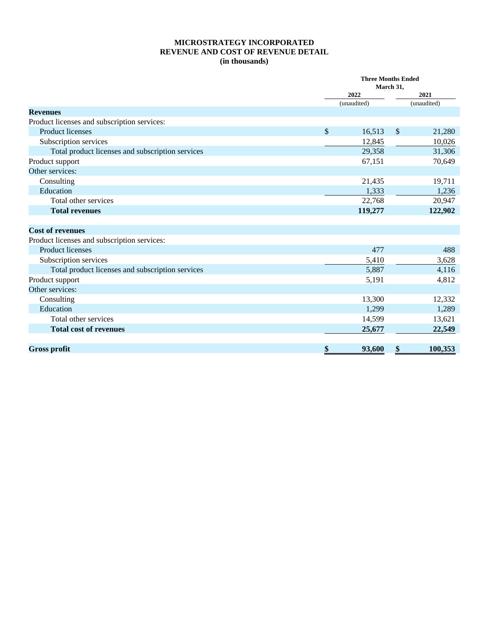### **MICROSTRATEGY INCORPORATED REVENUE AND COST OF REVENUE DETAIL (in thousands)**

|                                                  |               | <b>Three Months Ended</b><br>March 31, |    |             |  |  |  |
|--------------------------------------------------|---------------|----------------------------------------|----|-------------|--|--|--|
|                                                  |               | 2022                                   |    | 2021        |  |  |  |
|                                                  |               | (unaudited)                            |    | (unaudited) |  |  |  |
| <b>Revenues</b>                                  |               |                                        |    |             |  |  |  |
| Product licenses and subscription services:      |               |                                        |    |             |  |  |  |
| Product licenses                                 | $\mathcal{S}$ | 16,513                                 | \$ | 21,280      |  |  |  |
| Subscription services                            |               | 12,845                                 |    | 10,026      |  |  |  |
| Total product licenses and subscription services |               | 29,358                                 |    | 31,306      |  |  |  |
| Product support                                  |               | 67,151                                 |    | 70,649      |  |  |  |
| Other services:                                  |               |                                        |    |             |  |  |  |
| Consulting                                       |               | 21,435                                 |    | 19,711      |  |  |  |
| Education                                        |               | 1,333                                  |    | 1,236       |  |  |  |
| Total other services                             |               | 22,768                                 |    | 20,947      |  |  |  |
| <b>Total revenues</b>                            |               | 119,277                                |    | 122,902     |  |  |  |
|                                                  |               |                                        |    |             |  |  |  |
| <b>Cost of revenues</b>                          |               |                                        |    |             |  |  |  |
| Product licenses and subscription services:      |               |                                        |    |             |  |  |  |
| <b>Product licenses</b>                          |               | 477                                    |    | 488         |  |  |  |
| Subscription services                            |               | 5,410                                  |    | 3,628       |  |  |  |
| Total product licenses and subscription services |               | 5,887                                  |    | 4,116       |  |  |  |
| Product support                                  |               | 5,191                                  |    | 4,812       |  |  |  |
| Other services:                                  |               |                                        |    |             |  |  |  |
| Consulting                                       |               | 13,300                                 |    | 12,332      |  |  |  |
| Education                                        |               | 1,299                                  |    | 1,289       |  |  |  |
| Total other services                             |               | 14,599                                 |    | 13,621      |  |  |  |
| <b>Total cost of revenues</b>                    |               | 25,677                                 |    | 22,549      |  |  |  |
|                                                  |               |                                        |    |             |  |  |  |
| <b>Gross profit</b>                              | \$            | 93,600                                 | \$ | 100,353     |  |  |  |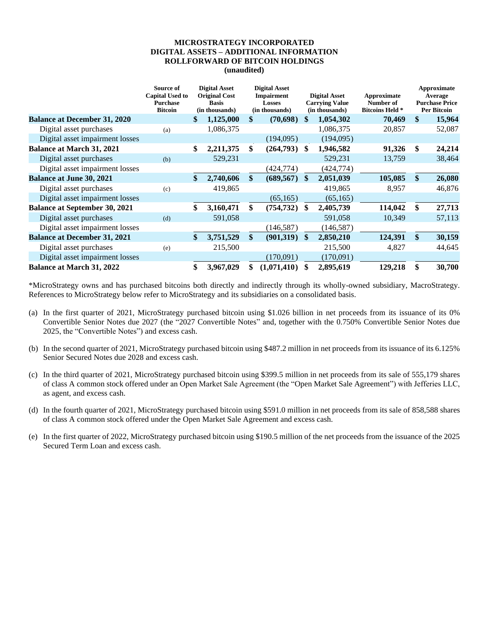# **MICROSTRATEGY INCORPORATED DIGITAL ASSETS – ADDITIONAL INFORMATION ROLLFORWARD OF BITCOIN HOLDINGS**

**(unaudited)**

|                                      | Source of<br><b>Capital Used to</b><br><b>Purchase</b><br><b>Bitcoin</b> |               | <b>Digital Asset</b><br><b>Original Cost</b><br><b>Basis</b><br>(in thousands) |               | <b>Digital Asset</b><br><b>Impairment</b><br><b>Losses</b><br>(in thousands) |     | <b>Digital Asset</b><br><b>Carrying Value</b><br>(in thousands) | Approximate<br>Number of<br><b>Bitcoins Held *</b> | Approximate<br>Average<br><b>Purchase Price</b><br><b>Per Bitcoin</b> |
|--------------------------------------|--------------------------------------------------------------------------|---------------|--------------------------------------------------------------------------------|---------------|------------------------------------------------------------------------------|-----|-----------------------------------------------------------------|----------------------------------------------------|-----------------------------------------------------------------------|
| <b>Balance at December 31, 2020</b>  |                                                                          | \$            | 1,125,000                                                                      | \$            | (70, 698)                                                                    | S   | 1,054,302                                                       | 70,469                                             | \$<br>15,964                                                          |
| Digital asset purchases              | (a)                                                                      |               | 1,086,375                                                                      |               |                                                                              |     | 1,086,375                                                       | 20,857                                             | 52,087                                                                |
| Digital asset impairment losses      |                                                                          |               |                                                                                |               | (194,095)                                                                    |     | (194,095)                                                       |                                                    |                                                                       |
| <b>Balance at March 31, 2021</b>     |                                                                          | \$            | 2,211,375                                                                      | \$            | (264,793)                                                                    | -\$ | 1,946,582                                                       | 91,326                                             | \$<br>24,214                                                          |
| Digital asset purchases              | (b)                                                                      |               | 529,231                                                                        |               |                                                                              |     | 529,231                                                         | 13,759                                             | 38,464                                                                |
| Digital asset impairment losses      |                                                                          |               |                                                                                |               | (424, 774)                                                                   |     | (424, 774)                                                      |                                                    |                                                                       |
| <b>Balance at June 30, 2021</b>      |                                                                          | $\mathbf{\$}$ | 2,740,606                                                                      | <sup>\$</sup> | (689, 567)                                                                   | \$  | 2,051,039                                                       | 105,085                                            | \$<br>26,080                                                          |
| Digital asset purchases              | (c)                                                                      |               | 419,865                                                                        |               |                                                                              |     | 419,865                                                         | 8,957                                              | 46,876                                                                |
| Digital asset impairment losses      |                                                                          |               |                                                                                |               | (65, 165)                                                                    |     | (65, 165)                                                       |                                                    |                                                                       |
| <b>Balance at September 30, 2021</b> |                                                                          | \$            | 3,160,471                                                                      | \$            | (754, 732)                                                                   | \$  | 2,405,739                                                       | 114,042                                            | \$<br>27,713                                                          |
| Digital asset purchases              | (d)                                                                      |               | 591,058                                                                        |               |                                                                              |     | 591,058                                                         | 10,349                                             | 57,113                                                                |
| Digital asset impairment losses      |                                                                          |               |                                                                                |               | (146, 587)                                                                   |     | (146, 587)                                                      |                                                    |                                                                       |
| <b>Balance at December 31, 2021</b>  |                                                                          | $\mathbf{\$}$ | 3,751,529                                                                      | <sup>\$</sup> | (901,319)                                                                    | -S  | 2,850,210                                                       | 124.391                                            | \$<br>30,159                                                          |
| Digital asset purchases              | (e)                                                                      |               | 215,500                                                                        |               |                                                                              |     | 215,500                                                         | 4,827                                              | 44,645                                                                |
| Digital asset impairment losses      |                                                                          |               |                                                                                |               | (170,091)                                                                    |     | (170,091)                                                       |                                                    |                                                                       |
| <b>Balance at March 31, 2022</b>     |                                                                          | \$            | 3,967,029                                                                      | \$            | (1,071,410)                                                                  | \$  | 2,895,619                                                       | 129,218                                            | \$<br>30,700                                                          |

\*MicroStrategy owns and has purchased bitcoins both directly and indirectly through its wholly-owned subsidiary, MacroStrategy. References to MicroStrategy below refer to MicroStrategy and its subsidiaries on a consolidated basis.

- (a) In the first quarter of 2021, MicroStrategy purchased bitcoin using \$1.026 billion in net proceeds from its issuance of its 0% Convertible Senior Notes due 2027 (the "2027 Convertible Notes" and, together with the 0.750% Convertible Senior Notes due 2025, the "Convertible Notes") and excess cash.
- (b) In the second quarter of 2021, MicroStrategy purchased bitcoin using \$487.2 million in net proceeds from its issuance of its 6.125% Senior Secured Notes due 2028 and excess cash.
- (c) In the third quarter of 2021, MicroStrategy purchased bitcoin using \$399.5 million in net proceeds from its sale of 555,179 shares of class A common stock offered under an Open Market Sale Agreement (the "Open Market Sale Agreement") with Jefferies LLC, as agent, and excess cash.
- (d) In the fourth quarter of 2021, MicroStrategy purchased bitcoin using \$591.0 million in net proceeds from its sale of 858,588 shares of class A common stock offered under the Open Market Sale Agreement and excess cash.
- (e) In the first quarter of 2022, MicroStrategy purchased bitcoin using \$190.5 million of the net proceeds from the issuance of the 2025 Secured Term Loan and excess cash.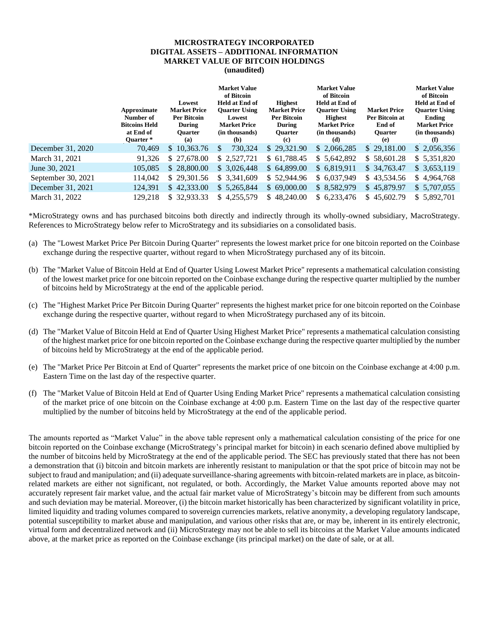# **MICROSTRATEGY INCORPORATED DIGITAL ASSETS – ADDITIONAL INFORMATION MARKET VALUE OF BITCOIN HOLDINGS**

**(unaudited)** 

|                    | Approximate<br>Number of<br><b>Bitcoins Held</b><br>at End of<br>Ouarter <sup>*</sup> | Lowest<br><b>Market Price</b><br><b>Per Bitcoin</b><br>During<br><b>Ouarter</b><br>(a) | <b>Market Value</b><br>of Bitcoin<br><b>Held at End of</b><br><b>Ouarter Using</b><br>Lowest<br><b>Market Price</b><br>(in thousands)<br>(b) | <b>Highest</b><br><b>Market Price</b><br><b>Per Bitcoin</b><br><b>During</b><br><b>Ouarter</b><br>(c) | <b>Market Value</b><br>of Bitcoin<br><b>Held at End of</b><br><b>Ouarter Using</b><br><b>Highest</b><br><b>Market Price</b><br>(in thousands)<br>(d) | <b>Market Price</b><br>Per Bitcoin at<br>End of<br><b>Ouarter</b><br>(e) | <b>Market Value</b><br>of Bitcoin<br><b>Held at End of</b><br><b>Ouarter Using</b><br>Ending<br><b>Market Price</b><br>(in thousands)<br>(f) |
|--------------------|---------------------------------------------------------------------------------------|----------------------------------------------------------------------------------------|----------------------------------------------------------------------------------------------------------------------------------------------|-------------------------------------------------------------------------------------------------------|------------------------------------------------------------------------------------------------------------------------------------------------------|--------------------------------------------------------------------------|----------------------------------------------------------------------------------------------------------------------------------------------|
| December 31, 2020  | 70,469                                                                                | 10,363.76<br><sup>\$</sup>                                                             | 730,324<br>\$.                                                                                                                               | \$29,321.90                                                                                           | \$2,066,285                                                                                                                                          | \$29,181.00                                                              | \$2,056,356                                                                                                                                  |
| March 31, 2021     | 91,326                                                                                | \$27,678.00                                                                            | \$2,527,721                                                                                                                                  | \$61,788.45                                                                                           | \$ 5,642,892                                                                                                                                         | \$58,601.28                                                              | \$5,351,820                                                                                                                                  |
| June 30, 2021      | 105,085                                                                               | \$28,800.00                                                                            | \$3,026,448                                                                                                                                  | \$64,899.00                                                                                           | \$6,819,911                                                                                                                                          | \$34,763.47                                                              | \$3,653,119                                                                                                                                  |
| September 30, 2021 | 114,042                                                                               | \$29,301.56                                                                            | \$3,341,609                                                                                                                                  | \$52,944.96                                                                                           | \$6,037,949                                                                                                                                          | \$43,534.56                                                              | \$4,964,768                                                                                                                                  |
| December 31, 2021  | 124.391                                                                               | \$42,333.00                                                                            | \$5,265,844                                                                                                                                  | \$69,000.00                                                                                           | \$8,582,979                                                                                                                                          | \$45,879.97                                                              | \$5,707,055                                                                                                                                  |
| March 31, 2022     | 129.218                                                                               | \$ 32,933.33                                                                           | \$4,255,579                                                                                                                                  | \$48,240.00                                                                                           | \$6,233,476                                                                                                                                          | \$45,602.79                                                              | 5,892,701<br>\$.                                                                                                                             |

\*MicroStrategy owns and has purchased bitcoins both directly and indirectly through its wholly-owned subsidiary, MacroStrategy. References to MicroStrategy below refer to MicroStrategy and its subsidiaries on a consolidated basis.

- (a) The "Lowest Market Price Per Bitcoin During Quarter" represents the lowest market price for one bitcoin reported on the Coinbase exchange during the respective quarter, without regard to when MicroStrategy purchased any of its bitcoin.
- (b) The "Market Value of Bitcoin Held at End of Quarter Using Lowest Market Price" represents a mathematical calculation consisting of the lowest market price for one bitcoin reported on the Coinbase exchange during the respective quarter multiplied by the number of bitcoins held by MicroStrategy at the end of the applicable period.
- (c) The "Highest Market Price Per Bitcoin During Quarter" represents the highest market price for one bitcoin reported on the Coinbase exchange during the respective quarter, without regard to when MicroStrategy purchased any of its bitcoin.
- (d) The "Market Value of Bitcoin Held at End of Quarter Using Highest Market Price" represents a mathematical calculation consisting of the highest market price for one bitcoin reported on the Coinbase exchange during the respective quarter multiplied by the number of bitcoins held by MicroStrategy at the end of the applicable period.
- (e) The "Market Price Per Bitcoin at End of Quarter" represents the market price of one bitcoin on the Coinbase exchange at 4:00 p.m. Eastern Time on the last day of the respective quarter.
- (f) The "Market Value of Bitcoin Held at End of Quarter Using Ending Market Price" represents a mathematical calculation consisting of the market price of one bitcoin on the Coinbase exchange at 4:00 p.m. Eastern Time on the last day of the respective quarter multiplied by the number of bitcoins held by MicroStrategy at the end of the applicable period.

The amounts reported as "Market Value" in the above table represent only a mathematical calculation consisting of the price for one bitcoin reported on the Coinbase exchange (MicroStrategy's principal market for bitcoin) in each scenario defined above multiplied by the number of bitcoins held by MicroStrategy at the end of the applicable period. The SEC has previously stated that there has not been a demonstration that (i) bitcoin and bitcoin markets are inherently resistant to manipulation or that the spot price of bitcoin may not be subject to fraud and manipulation; and (ii) adequate surveillance-sharing agreements with bitcoin-related markets are in place, as bitcoinrelated markets are either not significant, not regulated, or both. Accordingly, the Market Value amounts reported above may not accurately represent fair market value, and the actual fair market value of MicroStrategy's bitcoin may be different from such amounts and such deviation may be material. Moreover, (i) the bitcoin market historically has been characterized by significant volatility in price, limited liquidity and trading volumes compared to sovereign currencies markets, relative anonymity, a developing regulatory landscape, potential susceptibility to market abuse and manipulation, and various other risks that are, or may be, inherent in its entirely electronic, virtual form and decentralized network and (ii) MicroStrategy may not be able to sell its bitcoins at the Market Value amounts indicated above, at the market price as reported on the Coinbase exchange (its principal market) on the date of sale, or at all.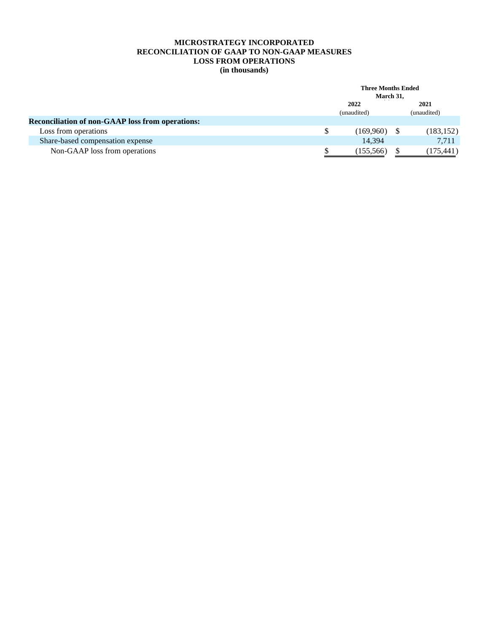## **MICROSTRATEGY INCORPORATED RECONCILIATION OF GAAP TO NON-GAAP MEASURES LOSS FROM OPERATIONS (in thousands)**

|                                                         | <b>Three Months Ended</b> |      |             |  |  |  |
|---------------------------------------------------------|---------------------------|------|-------------|--|--|--|
|                                                         | March 31,                 |      |             |  |  |  |
|                                                         | 2022                      | 2021 |             |  |  |  |
|                                                         | (unaudited)               |      | (unaudited) |  |  |  |
| <b>Reconciliation of non-GAAP loss from operations:</b> |                           |      |             |  |  |  |
| Loss from operations                                    | \$<br>(169,960)           |      | (183, 152)  |  |  |  |
| Share-based compensation expense                        | 14,394                    |      | 7,711       |  |  |  |
| Non-GAAP loss from operations                           | (155,566)                 |      | (175, 441)  |  |  |  |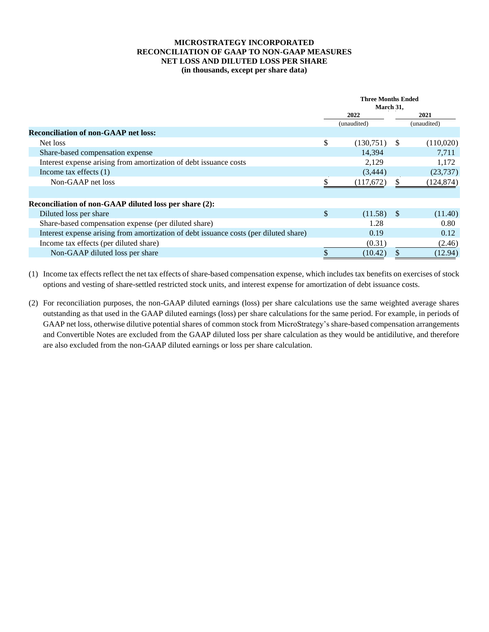### **MICROSTRATEGY INCORPORATED RECONCILIATION OF GAAP TO NON-GAAP MEASURES NET LOSS AND DILUTED LOSS PER SHARE (in thousands, except per share data)**

|                                                                                       | <b>Three Months Ended</b><br>March 31, |      |             |
|---------------------------------------------------------------------------------------|----------------------------------------|------|-------------|
|                                                                                       | 2022                                   |      | 2021        |
|                                                                                       | (unaudited)                            |      | (unaudited) |
| <b>Reconciliation of non-GAAP net loss:</b>                                           |                                        |      |             |
| Net loss                                                                              | \$<br>(130,751)                        | - \$ | (110,020)   |
| Share-based compensation expense                                                      | 14,394                                 |      | 7,711       |
| Interest expense arising from amortization of debt issuance costs                     | 2,129                                  |      | 1,172       |
| Income tax effects $(1)$                                                              | (3, 444)                               |      | (23, 737)   |
| Non-GAAP net loss                                                                     | (117,672)                              |      | (124, 874)  |
|                                                                                       |                                        |      |             |
| Reconciliation of non-GAAP diluted loss per share (2):                                |                                        |      |             |
| Diluted loss per share                                                                | \$<br>(11.58)                          | - \$ | (11.40)     |
| Share-based compensation expense (per diluted share)                                  | 1.28                                   |      | 0.80        |
| Interest expense arising from amortization of debt issuance costs (per diluted share) | 0.19                                   |      | 0.12        |
| Income tax effects (per diluted share)                                                | (0.31)                                 |      | (2.46)      |
| Non-GAAP diluted loss per share                                                       | \$<br>(10.42)                          |      | (12.94)     |

(1) Income tax effects reflect the net tax effects of share-based compensation expense, which includes tax benefits on exercises of stock options and vesting of share-settled restricted stock units, and interest expense for amortization of debt issuance costs.

(2) For reconciliation purposes, the non-GAAP diluted earnings (loss) per share calculations use the same weighted average shares outstanding as that used in the GAAP diluted earnings (loss) per share calculations for the same period. For example, in periods of GAAP net loss, otherwise dilutive potential shares of common stock from MicroStrategy's share-based compensation arrangements and Convertible Notes are excluded from the GAAP diluted loss per share calculation as they would be antidilutive, and therefore are also excluded from the non-GAAP diluted earnings or loss per share calculation.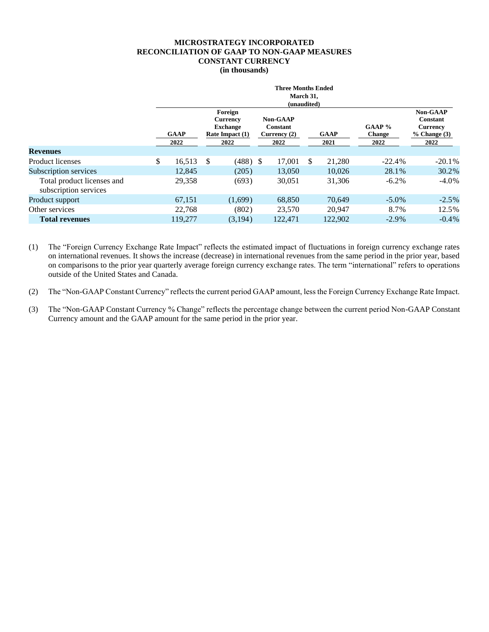# **MICROSTRATEGY INCORPORATED RECONCILIATION OF GAAP TO NON-GAAP MEASURES CONSTANT CURRENCY**

# **(in thousands)**

|                                                     | <b>Three Months Ended</b><br>March 31,<br>(unaudited)<br>$\alpha = \alpha = -\alpha$ .<br>All Arrest |    |                                                                            |  |                                                       |               |                     |                                   |                                                                            |  |
|-----------------------------------------------------|------------------------------------------------------------------------------------------------------|----|----------------------------------------------------------------------------|--|-------------------------------------------------------|---------------|---------------------|-----------------------------------|----------------------------------------------------------------------------|--|
|                                                     | <b>GAAP</b><br>2022                                                                                  |    | Foreign<br><b>Currency</b><br><b>Exchange</b><br>Rate Impact $(1)$<br>2022 |  | <b>Non-GAAP</b><br>Constant<br>Currency $(2)$<br>2022 |               | <b>GAAP</b><br>2021 | GAAP $%$<br><b>Change</b><br>2022 | <b>Non-GAAP</b><br>Constant<br><b>Currency</b><br>$%$ Change $(3)$<br>2022 |  |
| <b>Revenues</b>                                     |                                                                                                      |    |                                                                            |  |                                                       |               |                     |                                   |                                                                            |  |
| <b>Product licenses</b>                             | \$<br>16,513                                                                                         | \$ | $(488)$ \$                                                                 |  | 17,001                                                | <sup>\$</sup> | 21,280              | $-22.4%$                          | $-20.1%$                                                                   |  |
| Subscription services                               | 12.845                                                                                               |    | (205)                                                                      |  | 13,050                                                |               | 10.026              | 28.1%                             | 30.2%                                                                      |  |
| Total product licenses and<br>subscription services | 29,358                                                                                               |    | (693)                                                                      |  | 30,051                                                |               | 31,306              | $-6.2%$                           | $-4.0\%$                                                                   |  |
| Product support                                     | 67,151                                                                                               |    | (1,699)                                                                    |  | 68.850                                                |               | 70.649              | $-5.0\%$                          | $-2.5%$                                                                    |  |
| Other services                                      | 22.768                                                                                               |    | (802)                                                                      |  | 23,570                                                |               | 20,947              | 8.7%                              | 12.5%                                                                      |  |
| <b>Total revenues</b>                               | 119,277                                                                                              |    | (3.194)                                                                    |  | 122.471                                               |               | 122,902             | $-2.9\%$                          | $-0.4\%$                                                                   |  |

(1) The "Foreign Currency Exchange Rate Impact" reflects the estimated impact of fluctuations in foreign currency exchange rates on international revenues. It shows the increase (decrease) in international revenues from the same period in the prior year, based on comparisons to the prior year quarterly average foreign currency exchange rates. The term "international" refers to operations outside of the United States and Canada.

(2) The "Non-GAAP Constant Currency" reflects the current period GAAP amount, less the Foreign Currency Exchange Rate Impact.

(3) The "Non-GAAP Constant Currency % Change" reflects the percentage change between the current period Non-GAAP Constant Currency amount and the GAAP amount for the same period in the prior year.